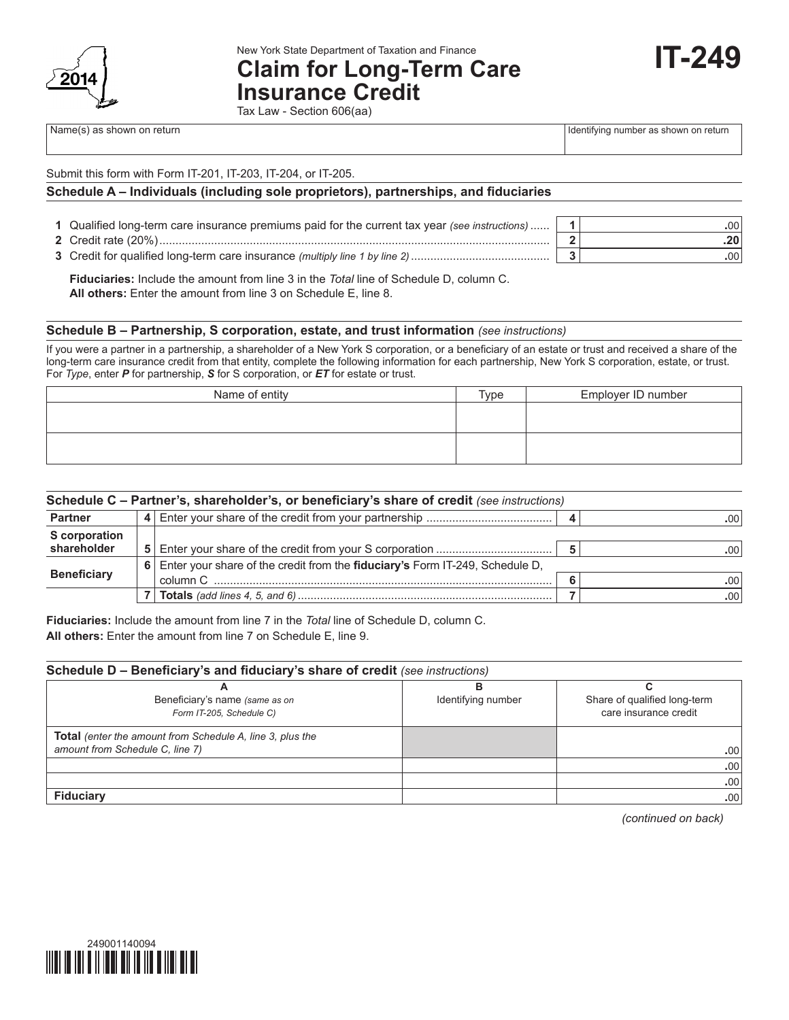

New York State Department of Taxation and Finance

# **Claim for Long-Term Care**

**Insurance Credit** Tax Law - Section 606(aa)

Name(s) as shown on return in the state of the state of the state of the state of the state of the state of the state of the state of the state of the state of the state of the state of the state of the state of the state

**IT-249**

|  |  | Submit this form with Form IT-201, IT-203, IT-204, or IT-205. |
|--|--|---------------------------------------------------------------|

### **Schedule A – Individuals (including sole proprietors), partnerships, and fiduciaries**

| 1 Qualified long-term care insurance premiums paid for the current tax year (see instructions) |  |
|------------------------------------------------------------------------------------------------|--|
| 2 Credit rate $(20\%)$ .                                                                       |  |

**3** Credit for qualified long-term care insurance *(multiply line 1 by line 2)*........................................... **3 .**00

 **Fiduciaries:** Include the amount from line 3 in the *Total* line of Schedule D, column C. **All others:** Enter the amount from line 3 on Schedule E, line 8.

#### **Schedule B – Partnership, S corporation, estate, and trust information** *(see instructions)*

If you were a partner in a partnership, a shareholder of a New York S corporation, or a beneficiary of an estate or trust and received a share of the long-term care insurance credit from that entity, complete the following information for each partnership, New York S corporation, estate, or trust. For *Type*, enter *P* for partnership, *S* for S corporation, or *ET* for estate or trust.

| Name of entity | Type | Employer ID number |
|----------------|------|--------------------|
|                |      |                    |
|                |      |                    |
|                |      |                    |
|                |      |                    |

| Schedule C - Partner's, shareholder's, or beneficiary's share of credit (see instructions) |  |                                                                              |  |                  |  |
|--------------------------------------------------------------------------------------------|--|------------------------------------------------------------------------------|--|------------------|--|
| <b>Partner</b><br>4                                                                        |  |                                                                              |  |                  |  |
| <b>S</b> corporation<br>shareholder                                                        |  |                                                                              |  | .00'             |  |
|                                                                                            |  | Enter your share of the credit from the fiduciary's Form IT-249, Schedule D, |  |                  |  |
| <b>Beneficiary</b>                                                                         |  |                                                                              |  | .00.             |  |
|                                                                                            |  |                                                                              |  | .00 <sub>1</sub> |  |
|                                                                                            |  |                                                                              |  |                  |  |

**Fiduciaries:** Include the amount from line 7 in the *Total* line of Schedule D, column C. **All others:** Enter the amount from line 7 on Schedule E, line 9.

### **Schedule D – Beneficiary's and fiduciary's share of credit** *(see instructions)*

| Beneficiary's name (same as on                                   | Identifying number | Share of qualified long-term |
|------------------------------------------------------------------|--------------------|------------------------------|
| Form IT-205, Schedule C)                                         |                    | care insurance credit        |
|                                                                  |                    |                              |
| <b>Total</b> (enter the amount from Schedule A, line 3, plus the |                    |                              |
| amount from Schedule C, line 7)                                  |                    | .00                          |
|                                                                  |                    | .00 <sub>1</sub>             |
|                                                                  |                    | .00                          |
| <b>Fiduciary</b>                                                 |                    | .00 <sup>1</sup>             |

*(continued on back)*